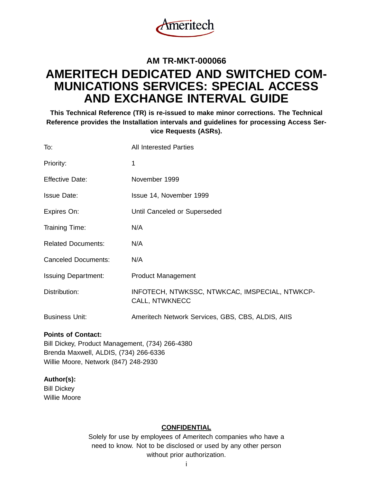

# **AM TR-MKT-000066 AMERITECH DEDICATED AND SWITCHED COM-MUNICATIONS SERVICES: SPECIAL ACCESS AND EXCHANGE INTERVAL GUIDE**

**This Technical Reference (TR) is re-issued to make minor corrections. The Technical Reference provides the Installation intervals and guidelines for processing Access Service Requests (ASRs).**

| To:                        | <b>All Interested Parties</b>                                           |
|----------------------------|-------------------------------------------------------------------------|
| Priority:                  | 1                                                                       |
| <b>Effective Date:</b>     | November 1999                                                           |
| <b>Issue Date:</b>         | Issue 14, November 1999                                                 |
| Expires On:                | Until Canceled or Superseded                                            |
| Training Time:             | N/A                                                                     |
| <b>Related Documents:</b>  | N/A                                                                     |
| <b>Canceled Documents:</b> | N/A                                                                     |
| <b>Issuing Department:</b> | <b>Product Management</b>                                               |
| Distribution:              | INFOTECH, NTWKSSC, NTWKCAC, IMSPECIAL, NTWKCP-<br><b>CALL, NTWKNECC</b> |
| <b>Business Unit:</b>      | Ameritech Network Services, GBS, CBS, ALDIS, AIIS                       |
|                            |                                                                         |

### **Points of Contact:**

Bill Dickey, Product Management, (734) 266-4380 Brenda Maxwell, ALDIS, (734) 266-6336 Willie Moore, Network (847) 248-2930

### **Author(s):**

Bill Dickey Willie Moore

### **CONFIDENTIAL**

Solely for use by employees of Ameritech companies who have a need to know. Not to be disclosed or used by any other person without prior authorization.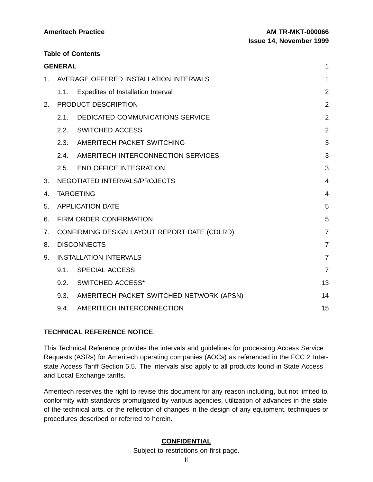**Table of Contents**

|         | <b>GENERAL</b> |                                               | 1              |
|---------|----------------|-----------------------------------------------|----------------|
| $1_{-}$ |                | AVERAGE OFFERED INSTALLATION INTERVALS        | 1              |
|         | 1.1.           | Expedites of Installation Interval            | $\overline{2}$ |
| 2.      |                | PRODUCT DESCRIPTION                           | $\overline{2}$ |
|         | 2.1.           | <b>DEDICATED COMMUNICATIONS SERVICE</b>       | $\overline{2}$ |
|         | 2.2.           | SWITCHED ACCESS                               | 2              |
|         | 2.3.           | AMERITECH PACKET SWITCHING                    | 3              |
|         | 2.4.           | AMERITECH INTERCONNECTION SERVICES            | 3              |
|         | 2.5.           | <b>END OFFICE INTEGRATION</b>                 | 3              |
| 3.      |                | NEGOTIATED INTERVALS/PROJECTS                 | $\overline{4}$ |
| 4.      |                | <b>TARGETING</b>                              | $\overline{4}$ |
| 5.      |                | <b>APPLICATION DATE</b>                       | 5              |
| 6.      |                | FIRM ORDER CONFIRMATION                       | 5              |
| 7.      |                | CONFIRMING DESIGN LAYOUT REPORT DATE (CDLRD)  | $\overline{7}$ |
| 8.      |                | <b>DISCONNECTS</b>                            | $\overline{7}$ |
| 9.      |                | <b>INSTALLATION INTERVALS</b>                 | $\overline{7}$ |
|         | 9.1.           | <b>SPECIAL ACCESS</b>                         | $\overline{7}$ |
|         |                | 9.2. SWITCHED ACCESS*                         | 13             |
|         |                | 9.3. AMERITECH PACKET SWITCHED NETWORK (APSN) | 14             |
|         | 9.4.           | AMERITECH INTERCONNECTION                     | 15             |

# **TECHNICAL REFERENCE NOTICE**

This Technical Reference provides the intervals and guidelines for processing Access Service Requests (ASRs) for Ameritech operating companies (AOCs) as referenced in the FCC 2 Interstate Access Tariff Section 5.5. The intervals also apply to all products found in State Access and Local Exchange tariffs.

Ameritech reserves the right to revise this document for any reason including, but not limited to, conformity with standards promulgated by various agencies, utilization of advances in the state of the technical arts, or the reflection of changes in the design of any equipment, techniques or procedures described or referred to herein.

### **CONFIDENTIAL**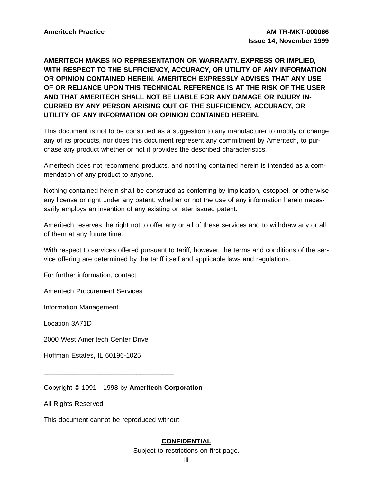# **AMERITECH MAKES NO REPRESENTATION OR WARRANTY, EXPRESS OR IMPLIED, WITH RESPECT TO THE SUFFICIENCY, ACCURACY, OR UTILITY OF ANY INFORMATION OR OPINION CONTAINED HEREIN. AMERITECH EXPRESSLY ADVISES THAT ANY USE OF OR RELIANCE UPON THIS TECHNICAL REFERENCE IS AT THE RISK OF THE USER AND THAT AMERITECH SHALL NOT BE LIABLE FOR ANY DAMAGE OR INJURY IN-CURRED BY ANY PERSON ARISING OUT OF THE SUFFICIENCY, ACCURACY, OR UTILITY OF ANY INFORMATION OR OPINION CONTAINED HEREIN.**

This document is not to be construed as a suggestion to any manufacturer to modify or change any of its products, nor does this document represent any commitment by Ameritech, to purchase any product whether or not it provides the described characteristics.

Ameritech does not recommend products, and nothing contained herein is intended as a commendation of any product to anyone.

Nothing contained herein shall be construed as conferring by implication, estoppel, or otherwise any license or right under any patent, whether or not the use of any information herein necessarily employs an invention of any existing or later issued patent.

Ameritech reserves the right not to offer any or all of these services and to withdraw any or all of them at any future time.

With respect to services offered pursuant to tariff, however, the terms and conditions of the service offering are determined by the tariff itself and applicable laws and regulations.

For further information, contact:

Ameritech Procurement Services

Information Management

Location 3A71D

2000 West Ameritech Center Drive

Hoffman Estates, IL 60196-1025

Copyright © 1991 - 1998 by **Ameritech Corporation**

All Rights Reserved

This document cannot be reproduced without

\_\_\_\_\_\_\_\_\_\_\_\_\_\_\_\_\_\_\_\_\_\_\_\_\_\_\_\_\_\_\_\_\_\_\_

### **CONFIDENTIAL**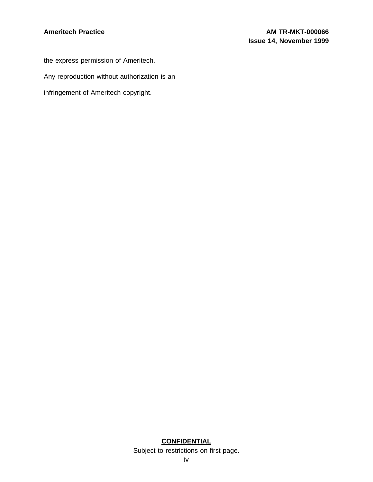the express permission of Ameritech. Any reproduction without authorization is an infringement of Ameritech copyright.

### **CONFIDENTIAL**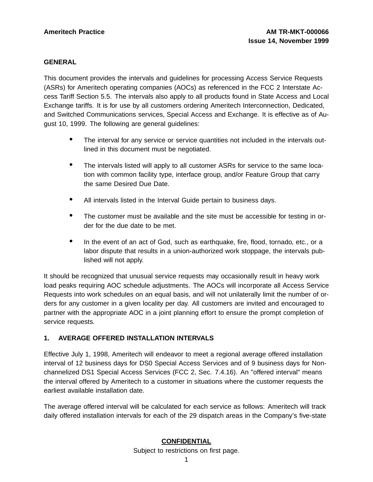### **GENERAL**

This document provides the intervals and guidelines for processing Access Service Requests (ASRs) for Ameritech operating companies (AOCs) as referenced in the FCC 2 Interstate Access Tariff Section 5.5. The intervals also apply to all products found in State Access and Local Exchange tariffs. It is for use by all customers ordering Ameritech Interconnection, Dedicated, and Switched Communications services, Special Access and Exchange. It is effective as of August 10, 1999. The following are general guidelines:

- The interval for any service or service quantities not included in the intervals outlined in this document must be negotiated.
- The intervals listed will apply to all customer ASRs for service to the same location with common facility type, interface group, and/or Feature Group that carry the same Desired Due Date.
- All intervals listed in the Interval Guide pertain to business days.
- The customer must be available and the site must be accessible for testing in order for the due date to be met.
- In the event of an act of God, such as earthquake, fire, flood, tornado, etc., or a labor dispute that results in a union-authorized work stoppage, the intervals published will not apply.

It should be recognized that unusual service requests may occasionally result in heavy work load peaks requiring AOC schedule adjustments. The AOCs will incorporate all Access Service Requests into work schedules on an equal basis, and will not unilaterally limit the number of orders for any customer in a given locality per day. All customers are invited and encouraged to partner with the appropriate AOC in a joint planning effort to ensure the prompt completion of service requests.

# **1. AVERAGE OFFERED INSTALLATION INTERVALS**

Effective July 1, 1998, Ameritech will endeavor to meet a regional average offered installation interval of 12 business days for DS0 Special Access Services and of 9 business days for Nonchannelized DS1 Special Access Services (FCC 2, Sec. 7.4.16). An "offered interval" means the interval offered by Ameritech to a customer in situations where the customer requests the earliest available installation date.

The average offered interval will be calculated for each service as follows: Ameritech will track daily offered installation intervals for each of the 29 dispatch areas in the Company's five-state

# **CONFIDENTIAL**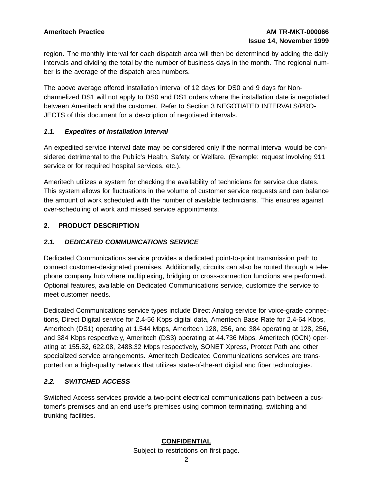region. The monthly interval for each dispatch area will then be determined by adding the daily intervals and dividing the total by the number of business days in the month. The regional number is the average of the dispatch area numbers.

The above average offered installation interval of 12 days for DS0 and 9 days for Nonchannelized DS1 will not apply to DS0 and DS1 orders where the installation date is negotiated between Ameritech and the customer. Refer to Section 3 NEGOTIATED INTERVALS/PRO-JECTS of this document for a description of negotiated intervals.

### **1.1. Expedites of Installation Interval**

An expedited service interval date may be considered only if the normal interval would be considered detrimental to the Public's Health, Safety, or Welfare. (Example: request involving 911 service or for required hospital services, etc.).

Ameritech utilizes a system for checking the availability of technicians for service due dates. This system allows for fluctuations in the volume of customer service requests and can balance the amount of work scheduled with the number of available technicians. This ensures against over-scheduling of work and missed service appointments.

### **2. PRODUCT DESCRIPTION**

# **2.1. DEDICATED COMMUNICATIONS SERVICE**

Dedicated Communications service provides a dedicated point-to-point transmission path to connect customer-designated premises. Additionally, circuits can also be routed through a telephone company hub where multiplexing, bridging or cross-connection functions are performed. Optional features, available on Dedicated Communications service, customize the service to meet customer needs.

Dedicated Communications service types include Direct Analog service for voice-grade connections, Direct Digital service for 2.4-56 Kbps digital data, Ameritech Base Rate for 2.4-64 Kbps, Ameritech (DS1) operating at 1.544 Mbps, Ameritech 128, 256, and 384 operating at 128, 256, and 384 Kbps respectively, Ameritech (DS3) operating at 44.736 Mbps, Ameritech (OCN) operating at 155.52, 622.08, 2488.32 Mbps respectively, SONET Xpress, Protect Path and other specialized service arrangements. Ameritech Dedicated Communications services are transported on a high-quality network that utilizes state-of-the-art digital and fiber technologies.

### **2.2. SWITCHED ACCESS**

Switched Access services provide a two-point electrical communications path between a customer's premises and an end user's premises using common terminating, switching and trunking facilities.

# **CONFIDENTIAL**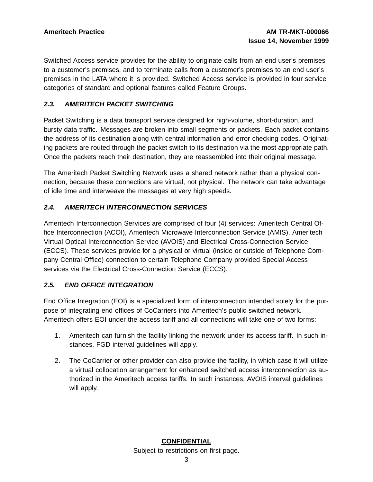Switched Access service provides for the ability to originate calls from an end user's premises to a customer's premises, and to terminate calls from a customer's premises to an end user's premises in the LATA where it is provided. Switched Access service is provided in four service categories of standard and optional features called Feature Groups.

### **2.3. AMERITECH PACKET SWITCHING**

Packet Switching is a data transport service designed for high-volume, short-duration, and bursty data traffic. Messages are broken into small segments or packets. Each packet contains the address of its destination along with central information and error checking codes. Originating packets are routed through the packet switch to its destination via the most appropriate path. Once the packets reach their destination, they are reassembled into their original message.

The Ameritech Packet Switching Network uses a shared network rather than a physical connection, because these connections are virtual, not physical. The network can take advantage of idle time and interweave the messages at very high speeds.

### **2.4. AMERITECH INTERCONNECTION SERVICES**

Ameritech Interconnection Services are comprised of four (4) services: Ameritech Central Office Interconnection (ACOI), Ameritech Microwave Interconnection Service (AMIS), Ameritech Virtual Optical Interconnection Service (AVOIS) and Electrical Cross-Connection Service (ECCS). These services provide for a physical or virtual (inside or outside of Telephone Company Central Office) connection to certain Telephone Company provided Special Access services via the Electrical Cross-Connection Service (ECCS).

# **2.5. END OFFICE INTEGRATION**

End Office Integration (EOI) is a specialized form of interconnection intended solely for the purpose of integrating end offices of CoCarriers into Ameritech's public switched network. Ameritech offers EOI under the access tariff and all connections will take one of two forms:

- 1. Ameritech can furnish the facility linking the network under its access tariff. In such instances, FGD interval guidelines will apply.
- 2. The CoCarrier or other provider can also provide the facility, in which case it will utilize a virtual collocation arrangement for enhanced switched access interconnection as authorized in the Ameritech access tariffs. In such instances, AVOIS interval guidelines will apply.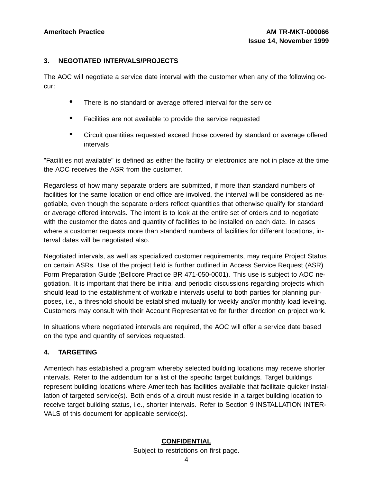### **3. NEGOTIATED INTERVALS/PROJECTS**

The AOC will negotiate a service date interval with the customer when any of the following occur:

- There is no standard or average offered interval for the service
- Facilities are not available to provide the service requested
- Circuit quantities requested exceed those covered by standard or average offered intervals

"Facilities not available" is defined as either the facility or electronics are not in place at the time the AOC receives the ASR from the customer.

Regardless of how many separate orders are submitted, if more than standard numbers of facilities for the same location or end office are involved, the interval will be considered as negotiable, even though the separate orders reflect quantities that otherwise qualify for standard or average offered intervals. The intent is to look at the entire set of orders and to negotiate with the customer the dates and quantity of facilities to be installed on each date. In cases where a customer requests more than standard numbers of facilities for different locations, interval dates will be negotiated also.

Negotiated intervals, as well as specialized customer requirements, may require Project Status on certain ASRs. Use of the project field is further outlined in Access Service Request (ASR) Form Preparation Guide (Bellcore Practice BR 471-050-0001). This use is subject to AOC negotiation. It is important that there be initial and periodic discussions regarding projects which should lead to the establishment of workable intervals useful to both parties for planning purposes, i.e., a threshold should be established mutually for weekly and/or monthly load leveling. Customers may consult with their Account Representative for further direction on project work.

In situations where negotiated intervals are required, the AOC will offer a service date based on the type and quantity of services requested.

### **4. TARGETING**

Ameritech has established a program whereby selected building locations may receive shorter intervals. Refer to the addendum for a list of the specific target buildings. Target buildings represent building locations where Ameritech has facilities available that facilitate quicker installation of targeted service(s). Both ends of a circuit must reside in a target building location to receive target building status, i.e., shorter intervals. Refer to Section 9 INSTALLATION INTER-VALS of this document for applicable service(s).

# **CONFIDENTIAL**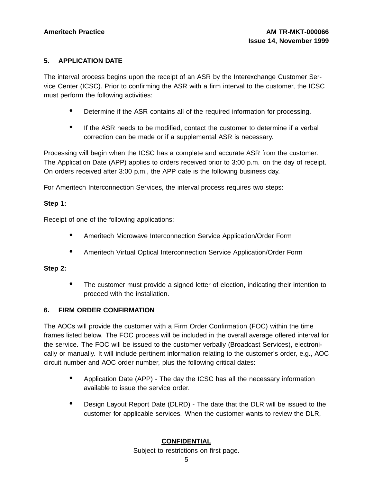### **5. APPLICATION DATE**

The interval process begins upon the receipt of an ASR by the Interexchange Customer Service Center (ICSC). Prior to confirming the ASR with a firm interval to the customer, the ICSC must perform the following activities:

- Determine if the ASR contains all of the required information for processing.
- If the ASR needs to be modified, contact the customer to determine if <sup>a</sup> verbal correction can be made or if a supplemental ASR is necessary.

Processing will begin when the ICSC has a complete and accurate ASR from the customer. The Application Date (APP) applies to orders received prior to 3:00 p.m. on the day of receipt. On orders received after 3:00 p.m., the APP date is the following business day.

For Ameritech Interconnection Services, the interval process requires two steps:

### **Step 1:**

Receipt of one of the following applications:

- Ameritech Microwave Interconnection Service Application/Order Form
- Ameritech Virtual Optical Interconnection Service Application/Order Form

### **Step 2:**

• The customer must provide a signed letter of election, indicating their intention to proceed with the installation.

# **6. FIRM ORDER CONFIRMATION**

The AOCs will provide the customer with a Firm Order Confirmation (FOC) within the time frames listed below. The FOC process will be included in the overall average offered interval for the service. The FOC will be issued to the customer verbally (Broadcast Services), electronically or manually. It will include pertinent information relating to the customer's order, e.g., AOC circuit number and AOC order number, plus the following critical dates:

- Application Date (APP) The day the ICSC has all the necessary information available to issue the service order.
- Design Layout Report Date (DLRD) The date that the DLR will be issued to the customer for applicable services. When the customer wants to review the DLR,

# **CONFIDENTIAL**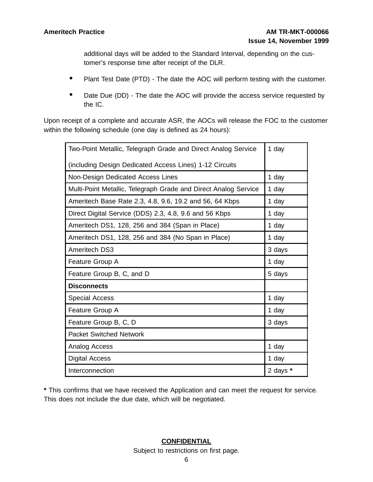additional days will be added to the Standard Interval, depending on the customer's response time after receipt of the DLR.

- Plant Test Date (PTD) The date the AOC will perform testing with the customer.
- Date Due (DD) The date the AOC will provide the access service requested by the IC.

Upon receipt of a complete and accurate ASR, the AOCs will release the FOC to the customer within the following schedule (one day is defined as 24 hours):

| Two-Point Metallic, Telegraph Grade and Direct Analog Service   | 1 day    |
|-----------------------------------------------------------------|----------|
| (including Design Dedicated Access Lines) 1-12 Circuits         |          |
| Non-Design Dedicated Access Lines                               | 1 day    |
| Multi-Point Metallic, Telegraph Grade and Direct Analog Service | 1 day    |
| Ameritech Base Rate 2.3, 4.8, 9.6, 19.2 and 56, 64 Kbps         | 1 day    |
| Direct Digital Service (DDS) 2.3, 4.8, 9.6 and 56 Kbps          | 1 day    |
| Ameritech DS1, 128, 256 and 384 (Span in Place)                 | 1 day    |
| Ameritech DS1, 128, 256 and 384 (No Span in Place)              | 1 day    |
| <b>Ameritech DS3</b>                                            | 3 days   |
| Feature Group A                                                 | 1 day    |
| Feature Group B, C, and D                                       | 5 days   |
| <b>Disconnects</b>                                              |          |
| <b>Special Access</b>                                           | 1 day    |
| Feature Group A                                                 | 1 day    |
| Feature Group B, C, D                                           | 3 days   |
| <b>Packet Switched Network</b>                                  |          |
| Analog Access                                                   | 1 day    |
| <b>Digital Access</b>                                           | 1 day    |
| Interconnection                                                 | 2 days * |

**\*** This confirms that we have received the Application and can meet the request for service. This does not include the due date, which will be negotiated.

# **CONFIDENTIAL**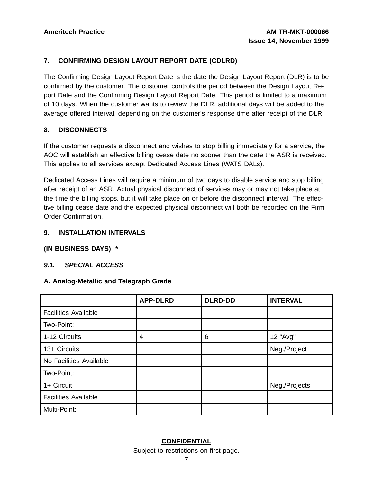### **7. CONFIRMING DESIGN LAYOUT REPORT DATE (CDLRD)**

The Confirming Design Layout Report Date is the date the Design Layout Report (DLR) is to be confirmed by the customer. The customer controls the period between the Design Layout Report Date and the Confirming Design Layout Report Date. This period is limited to a maximum of 10 days. When the customer wants to review the DLR, additional days will be added to the average offered interval, depending on the customer's response time after receipt of the DLR.

### **8. DISCONNECTS**

If the customer requests a disconnect and wishes to stop billing immediately for a service, the AOC will establish an effective billing cease date no sooner than the date the ASR is received. This applies to all services except Dedicated Access Lines (WATS DALs).

Dedicated Access Lines will require a minimum of two days to disable service and stop billing after receipt of an ASR. Actual physical disconnect of services may or may not take place at the time the billing stops, but it will take place on or before the disconnect interval. The effective billing cease date and the expected physical disconnect will both be recorded on the Firm Order Confirmation.

### **9. INSTALLATION INTERVALS**

**(IN BUSINESS DAYS) \***

### **9.1. SPECIAL ACCESS**

### **A. Analog-Metallic and Telegraph Grade**

|                             | <b>APP-DLRD</b> | <b>DLRD-DD</b> | <b>INTERVAL</b> |
|-----------------------------|-----------------|----------------|-----------------|
| <b>Facilities Available</b> |                 |                |                 |
| Two-Point:                  |                 |                |                 |
| 1-12 Circuits               | 4               | 6              | 12 "Avg"        |
| 13+ Circuits                |                 |                | Neg./Project    |
| No Facilities Available     |                 |                |                 |
| Two-Point:                  |                 |                |                 |
| 1+ Circuit                  |                 |                | Neg./Projects   |
| <b>Facilities Available</b> |                 |                |                 |
| Multi-Point:                |                 |                |                 |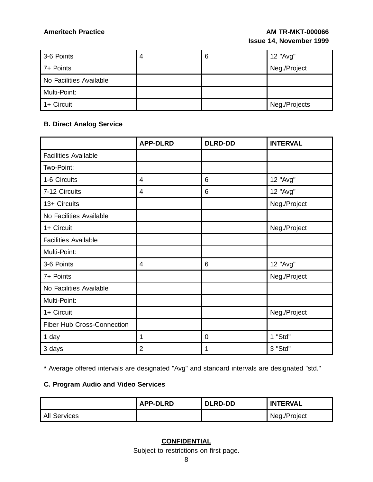| 3-6 Points              | 4 | 6 | 12 "Avg"      |
|-------------------------|---|---|---------------|
| 7+ Points               |   |   | Neg./Project  |
| No Facilities Available |   |   |               |
| Multi-Point:            |   |   |               |
| 1+ Circuit              |   |   | Neg./Projects |

# **B. Direct Analog Service**

|                                   | <b>APP-DLRD</b> | <b>DLRD-DD</b> | <b>INTERVAL</b> |
|-----------------------------------|-----------------|----------------|-----------------|
| <b>Facilities Available</b>       |                 |                |                 |
| Two-Point:                        |                 |                |                 |
| 1-6 Circuits                      | 4               | 6              | 12 "Avg"        |
| 7-12 Circuits                     | 4               | 6              | 12 "Avg"        |
| 13+ Circuits                      |                 |                | Neg./Project    |
| No Facilities Available           |                 |                |                 |
| 1+ Circuit                        |                 |                | Neg./Project    |
| <b>Facilities Available</b>       |                 |                |                 |
| Multi-Point:                      |                 |                |                 |
| 3-6 Points                        | 4               | 6              | 12 "Avg"        |
| 7+ Points                         |                 |                | Neg./Project    |
| No Facilities Available           |                 |                |                 |
| Multi-Point:                      |                 |                |                 |
| 1+ Circuit                        |                 |                | Neg./Project    |
| <b>Fiber Hub Cross-Connection</b> |                 |                |                 |
| 1 day                             | 1               | $\overline{0}$ | 1 "Std"         |
| 3 days                            | $\overline{2}$  | 1              | 3 "Std"         |

**\*** Average offered intervals are designated "Avg" and standard intervals are designated "std."

# **C. Program Audio and Video Services**

|                     | <b>APP-DLRD</b> | l DLRD-DD | <b>INTERVAL</b> |
|---------------------|-----------------|-----------|-----------------|
| <b>All Services</b> |                 |           | Neg./Project    |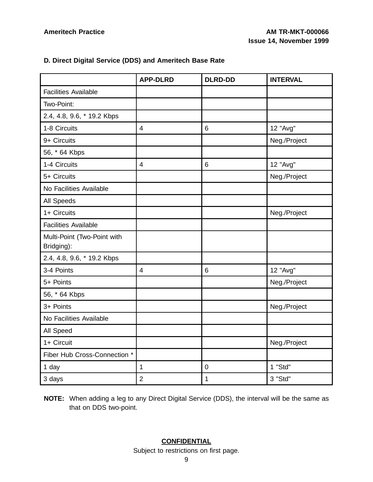### **D. Direct Digital Service (DDS) and Ameritech Base Rate**

|                                           | <b>APP-DLRD</b> | <b>DLRD-DD</b>   | <b>INTERVAL</b> |
|-------------------------------------------|-----------------|------------------|-----------------|
| <b>Facilities Available</b>               |                 |                  |                 |
| Two-Point:                                |                 |                  |                 |
| 2.4, 4.8, 9.6, * 19.2 Kbps                |                 |                  |                 |
| 1-8 Circuits                              | $\overline{4}$  | $6\phantom{1}6$  | 12 "Avg"        |
| 9+ Circuits                               |                 |                  | Neg./Project    |
| 56, * 64 Kbps                             |                 |                  |                 |
| 1-4 Circuits                              | $\overline{4}$  | 6                | 12 "Avg"        |
| 5+ Circuits                               |                 |                  | Neg./Project    |
| No Facilities Available                   |                 |                  |                 |
| All Speeds                                |                 |                  |                 |
| 1+ Circuits                               |                 |                  | Neg./Project    |
| <b>Facilities Available</b>               |                 |                  |                 |
| Multi-Point (Two-Point with<br>Bridging): |                 |                  |                 |
| 2.4, 4.8, 9.6, * 19.2 Kbps                |                 |                  |                 |
| 3-4 Points                                | $\overline{4}$  | 6                | 12 "Avg"        |
| 5+ Points                                 |                 |                  | Neg./Project    |
| 56, * 64 Kbps                             |                 |                  |                 |
| 3+ Points                                 |                 |                  | Neg./Project    |
| No Facilities Available                   |                 |                  |                 |
| All Speed                                 |                 |                  |                 |
| 1+ Circuit                                |                 |                  | Neg./Project    |
| Fiber Hub Cross-Connection *              |                 |                  |                 |
| 1 day                                     | 1               | $\boldsymbol{0}$ | 1 "Std"         |
| 3 days                                    | $\overline{2}$  | $\mathbf 1$      | 3 "Std"         |

**NOTE:** When adding a leg to any Direct Digital Service (DDS), the interval will be the same as that on DDS two-point.

# **CONFIDENTIAL**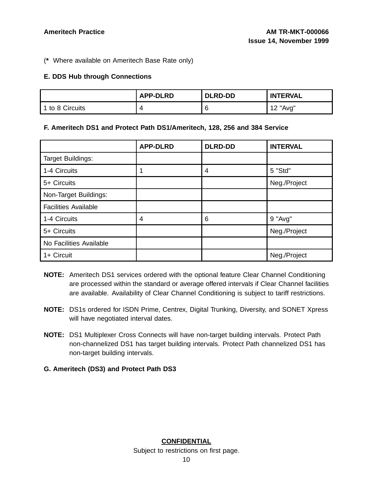(**\*** Where available on Ameritech Base Rate only)

### **E. DDS Hub through Connections**

|                 | <b>APP-DLRD</b> | <b>DLRD-DD</b> | <b>INTERVAL</b> |
|-----------------|-----------------|----------------|-----------------|
| 1 to 8 Circuits |                 | £              | 12 "Avg"        |

### **F. Ameritech DS1 and Protect Path DS1/Ameritech, 128, 256 and 384 Service**

|                             | <b>APP-DLRD</b> | <b>DLRD-DD</b> | <b>INTERVAL</b> |
|-----------------------------|-----------------|----------------|-----------------|
| Target Buildings:           |                 |                |                 |
| 1-4 Circuits                |                 | 4              | 5 "Std"         |
| 5+ Circuits                 |                 |                | Neg./Project    |
| Non-Target Buildings:       |                 |                |                 |
| <b>Facilities Available</b> |                 |                |                 |
| 1-4 Circuits                | 4               | 6              | 9 "Avg"         |
| 5+ Circuits                 |                 |                | Neg./Project    |
| No Facilities Available     |                 |                |                 |
| 1+ Circuit                  |                 |                | Neg./Project    |

- **NOTE:** Ameritech DS1 services ordered with the optional feature Clear Channel Conditioning are processed within the standard or average offered intervals if Clear Channel facilities are available. Availability of Clear Channel Conditioning is subject to tariff restrictions.
- **NOTE:** DS1s ordered for ISDN Prime, Centrex, Digital Trunking, Diversity, and SONET Xpress will have negotiated interval dates.
- **NOTE:** DS1 Multiplexer Cross Connects will have non-target building intervals. Protect Path non-channelized DS1 has target building intervals. Protect Path channelized DS1 has non-target building intervals.
- **G. Ameritech (DS3) and Protect Path DS3**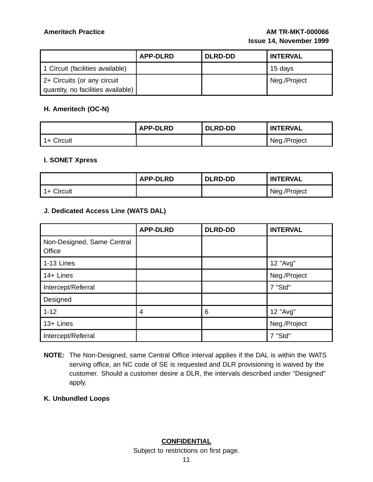|                                                                   | <b>APP-DLRD</b> | <b>DLRD-DD</b> | <b>INTERVAL</b> |
|-------------------------------------------------------------------|-----------------|----------------|-----------------|
| 1 Circuit (facilities available)                                  |                 |                | 15 days         |
| 2+ Circuits (or any circuit<br>quantity, no facilities available) |                 |                | Neg./Project    |

### **H. Ameritech (OC-N)**

|              | <b>APP-DLRD</b> | <b>DLRD-DD</b> | <b>INTERVAL</b> |
|--------------|-----------------|----------------|-----------------|
| $1+$ Circuit |                 |                | Neg./Project    |

### **I. SONET Xpress**

|            | <b>APP-DLRD</b> | <b>DLRD-DD</b> | <b>INTERVAL</b> |
|------------|-----------------|----------------|-----------------|
| 1+ Circuit |                 |                | Neg./Project    |

### **J. Dedicated Access Line (WATS DAL)**

|                                      | <b>APP-DLRD</b> | <b>DLRD-DD</b> | <b>INTERVAL</b> |
|--------------------------------------|-----------------|----------------|-----------------|
| Non-Designed, Same Central<br>Office |                 |                |                 |
| 1-13 Lines                           |                 |                | 12 "Avg"        |
| 14+ Lines                            |                 |                | Neg./Project    |
| Intercept/Referral                   |                 |                | 7 "Std"         |
| Designed                             |                 |                |                 |
| $1 - 12$                             | 4               | 6              | 12 "Avg"        |
| 13+ Lines                            |                 |                | Neg./Project    |
| Intercept/Referral                   |                 |                | 7 "Std"         |

**NOTE:** The Non-Designed, same Central Office interval applies if the DAL is within the WATS serving office, an NC code of SE is requested and DLR provisioning is waived by the customer. Should a customer desire a DLR, the intervals described under "Designed" apply.

**K. Unbundled Loops**

# **CONFIDENTIAL**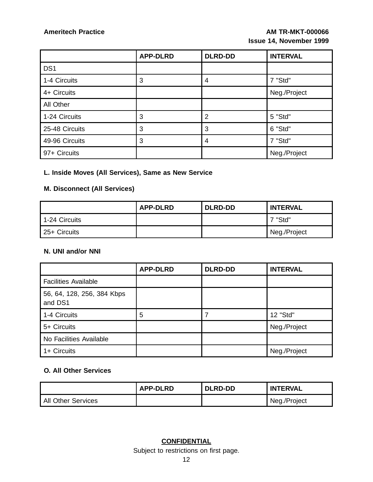|                 | <b>APP-DLRD</b> | <b>DLRD-DD</b> | <b>INTERVAL</b> |
|-----------------|-----------------|----------------|-----------------|
| DS <sub>1</sub> |                 |                |                 |
| 1-4 Circuits    | 3               | 4              | 7 "Std"         |
| 4+ Circuits     |                 |                | Neg./Project    |
| All Other       |                 |                |                 |
| 1-24 Circuits   | 3               | $\overline{2}$ | 5 "Std"         |
| 25-48 Circuits  | 3               | 3              | 6 "Std"         |
| 49-96 Circuits  | 3               | 4              | 7 "Std"         |
| 97+ Circuits    |                 |                | Neg./Project    |

# **L. Inside Moves (All Services), Same as New Service**

# **M. Disconnect (All Services)**

|               | <b>APP-DLRD</b> | <b>DLRD-DD</b> | <b>INTERVAL</b> |
|---------------|-----------------|----------------|-----------------|
| 1-24 Circuits |                 |                | 17 "Std"        |
| 25+ Circuits  |                 |                | Neg./Project    |

### **N. UNI and/or NNI**

|                                       | <b>APP-DLRD</b> | <b>DLRD-DD</b> | <b>INTERVAL</b> |
|---------------------------------------|-----------------|----------------|-----------------|
| <b>Facilities Available</b>           |                 |                |                 |
| 56, 64, 128, 256, 384 Kbps<br>and DS1 |                 |                |                 |
| 1-4 Circuits                          | 5               |                | 12 "Std"        |
| 5+ Circuits                           |                 |                | Neg./Project    |
| No Facilities Available               |                 |                |                 |
| $1 +$ Circuits                        |                 |                | Neg./Project    |

### **O. All Other Services**

|                           | <b>APP-DLRD</b> | <b>DLRD-DD</b> | <b>'INTERVAL</b> |
|---------------------------|-----------------|----------------|------------------|
| <b>All Other Services</b> |                 |                | Neg./Project     |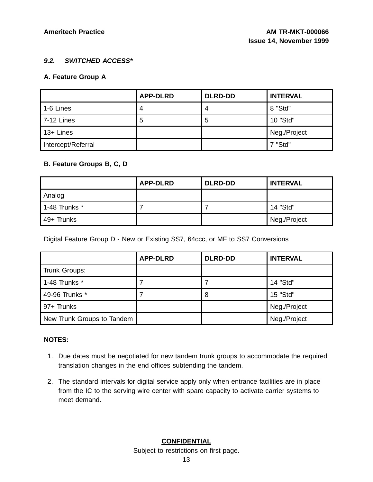### **9.2. SWITCHED ACCESS\***

### **A. Feature Group A**

|                    | <b>APP-DLRD</b> | <b>DLRD-DD</b> | <b>INTERVAL</b> |
|--------------------|-----------------|----------------|-----------------|
| 1-6 Lines          |                 | 4              | 8 "Std"         |
| <b>7-12 Lines</b>  | 5               | 5              | 10 "Std"        |
| 13+ Lines          |                 |                | Neg./Project    |
| Intercept/Referral |                 |                | 7 "Std"         |

### **B. Feature Groups B, C, D**

|                 | <b>APP-DLRD</b> | <b>DLRD-DD</b> | <b>INTERVAL</b> |
|-----------------|-----------------|----------------|-----------------|
| Analog          |                 |                |                 |
| 1-48 Trunks $*$ |                 |                | 14 "Std"        |
| 49+ Trunks      |                 |                | Neg./Project    |

Digital Feature Group D - New or Existing SS7, 64ccc, or MF to SS7 Conversions

|                            | <b>APP-DLRD</b> | <b>DLRD-DD</b> | <b>INTERVAL</b> |
|----------------------------|-----------------|----------------|-----------------|
| Trunk Groups:              |                 |                |                 |
| 1-48 Trunks $*$            |                 |                | 14 "Std"        |
| 49-96 Trunks *             |                 | 8              | 15 "Std"        |
| 97+ Trunks                 |                 |                | Neg./Project    |
| New Trunk Groups to Tandem |                 |                | Neg./Project    |

### **NOTES:**

- 1. Due dates must be negotiated for new tandem trunk groups to accommodate the required translation changes in the end offices subtending the tandem.
- 2. The standard intervals for digital service apply only when entrance facilities are in place from the IC to the serving wire center with spare capacity to activate carrier systems to meet demand.

# **CONFIDENTIAL**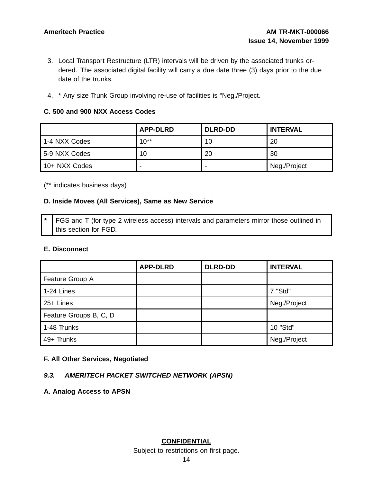- 3. Local Transport Restructure (LTR) intervals will be driven by the associated trunks ordered. The associated digital facility will carry a due date three (3) days prior to the due date of the trunks.
- 4. \* Any size Trunk Group involving re-use of facilities is "Neg./Project.

### **C. 500 and 900 NXX Access Codes**

|               | <b>APP-DLRD</b> | <b>DLRD-DD</b> | <b>INTERVAL</b> |
|---------------|-----------------|----------------|-----------------|
| 1-4 NXX Codes | $10^{**}$       | 10             | 20              |
| 5-9 NXX Codes | 10              | 20             | 30              |
| 10+ NXX Codes |                 | -              | Neg./Project    |

(\*\* indicates business days)

### **D. Inside Moves (All Services), Same as New Service**

FGS and T (for type 2 wireless access) intervals and parameters mirror those outlined in this section for FGD.

### **E. Disconnect**

|                        | <b>APP-DLRD</b> | <b>DLRD-DD</b> | <b>INTERVAL</b> |
|------------------------|-----------------|----------------|-----------------|
| Feature Group A        |                 |                |                 |
| $1-24$ Lines           |                 |                | 7 "Std"         |
| 25+ Lines              |                 |                | Neg./Project    |
| Feature Groups B, C, D |                 |                |                 |
| 1-48 Trunks            |                 |                | 10 "Std"        |
| 49+ Trunks             |                 |                | Neg./Project    |

### **F. All Other Services, Negotiated**

### **9.3. AMERITECH PACKET SWITCHED NETWORK (APSN)**

**A. Analog Access to APSN**

**CONFIDENTIAL**